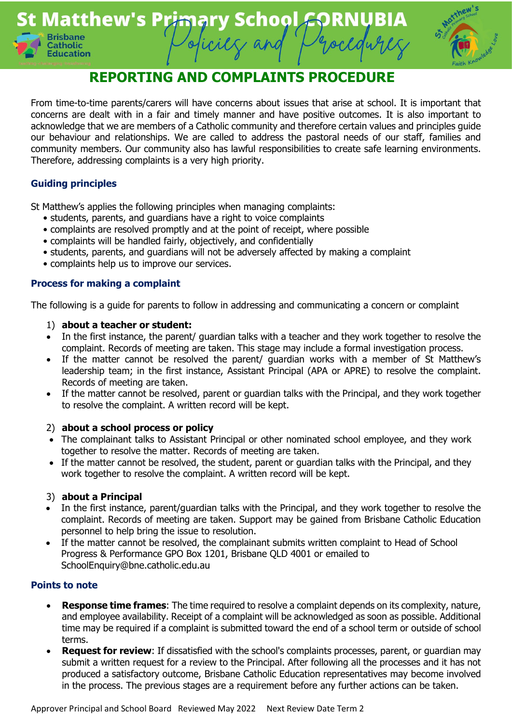



# **REPORTING AND COMPLAINTS PROCEDURE**

From time-to-time parents/carers will have concerns about issues that arise at school. It is important that concerns are dealt with in a fair and timely manner and have positive outcomes. It is also important to acknowledge that we are members of a Catholic community and therefore certain values and principles guide our behaviour and relationships. We are called to address the pastoral needs of our staff, families and community members. Our community also has lawful responsibilities to create safe learning environments. Therefore, addressing complaints is a very high priority.

# **Guiding principles**

St Matthew's applies the following principles when managing complaints:

- students, parents, and guardians have a right to voice complaints
- complaints are resolved promptly and at the point of receipt, where possible
- complaints will be handled fairly, objectively, and confidentially
- students, parents, and guardians will not be adversely affected by making a complaint
- complaints help us to improve our services.

## **Process for making a complaint**

The following is a guide for parents to follow in addressing and communicating a concern or complaint

#### 1) **about a teacher or student:**

- In the first instance, the parent/ guardian talks with a teacher and they work together to resolve the complaint. Records of meeting are taken. This stage may include a formal investigation process.
- If the matter cannot be resolved the parent/ quardian works with a member of St Matthew's leadership team; in the first instance, Assistant Principal (APA or APRE) to resolve the complaint. Records of meeting are taken.
- If the matter cannot be resolved, parent or guardian talks with the Principal, and they work together to resolve the complaint. A written record will be kept.

## 2) **about a school process or policy**

- The complainant talks to Assistant Principal or other nominated school employee, and they work together to resolve the matter. Records of meeting are taken.
- If the matter cannot be resolved, the student, parent or guardian talks with the Principal, and they work together to resolve the complaint. A written record will be kept.

## 3) **about a Principal**

- In the first instance, parent/guardian talks with the Principal, and they work together to resolve the complaint. Records of meeting are taken. Support may be gained from Brisbane Catholic Education personnel to help bring the issue to resolution.
- If the matter cannot be resolved, the complainant submits written complaint to Head of School Progress & Performance GPO Box 1201, Brisbane QLD 4001 or emailed to SchoolEnquiry@bne.catholic.edu.au

#### **Points to note**

- **Response time frames:** The time required to resolve a complaint depends on its complexity, nature, and employee availability. Receipt of a complaint will be acknowledged as soon as possible. Additional time may be required if a complaint is submitted toward the end of a school term or outside of school terms.
- **Request for review**: If dissatisfied with the school's complaints processes, parent, or guardian may submit a written request for a review to the Principal. After following all the processes and it has not produced a satisfactory outcome, Brisbane Catholic Education representatives may become involved in the process. The previous stages are a requirement before any further actions can be taken.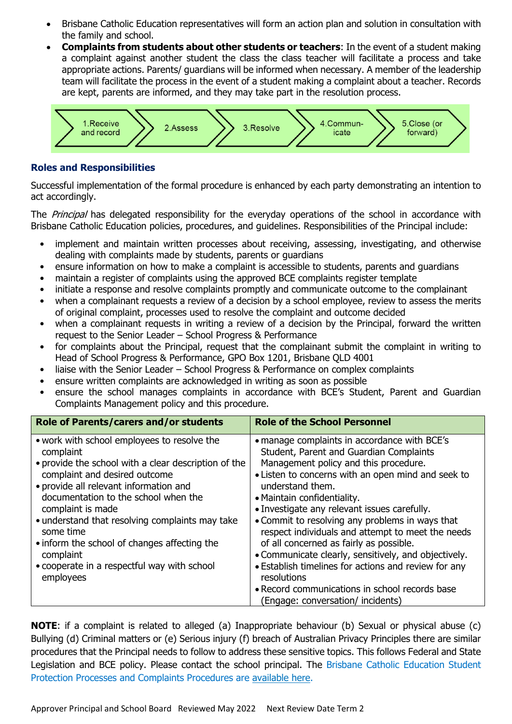- Brisbane Catholic Education representatives will form an action plan and solution in consultation with the family and school.
- **Complaints from students about other students or teachers**: In the event of a student making a complaint against another student the class the class teacher will facilitate a process and take appropriate actions. Parents/ guardians will be informed when necessary. A member of the leadership team will facilitate the process in the event of a student making a complaint about a teacher. Records are kept, parents are informed, and they may take part in the resolution process.



#### **Roles and Responsibilities**

Successful implementation of the formal procedure is enhanced by each party demonstrating an intention to act accordingly.

The *Principal* has delegated responsibility for the everyday operations of the school in accordance with Brisbane Catholic Education policies, procedures, and guidelines. Responsibilities of the Principal include:

- implement and maintain written processes about receiving, assessing, investigating, and otherwise dealing with complaints made by students, parents or guardians
- ensure information on how to make a complaint is accessible to students, parents and quardians
- maintain a register of complaints using the approved BCE complaints register template
- initiate a response and resolve complaints promptly and communicate outcome to the complainant
- when a complainant requests a review of a decision by a school employee, review to assess the merits of original complaint, processes used to resolve the complaint and outcome decided
- when a complainant requests in writing a review of a decision by the Principal, forward the written request to the Senior Leader – School Progress & Performance
- for complaints about the Principal, request that the complainant submit the complaint in writing to Head of School Progress & Performance, GPO Box 1201, Brisbane QLD 4001
- liaise with the Senior Leader School Progress & Performance on complex complaints
- ensure written complaints are acknowledged in writing as soon as possible
- ensure the school manages complaints in accordance with BCE's Student, Parent and Guardian Complaints Management policy and this procedure.

| Role of Parents/carers and/or students                                                                                                                                                                                                                                                                                                                                                                                                            | <b>Role of the School Personnel</b>                                                                                                                                                                                                                                                                                                                                                                                                                                                                                                                                                                                                                                |
|---------------------------------------------------------------------------------------------------------------------------------------------------------------------------------------------------------------------------------------------------------------------------------------------------------------------------------------------------------------------------------------------------------------------------------------------------|--------------------------------------------------------------------------------------------------------------------------------------------------------------------------------------------------------------------------------------------------------------------------------------------------------------------------------------------------------------------------------------------------------------------------------------------------------------------------------------------------------------------------------------------------------------------------------------------------------------------------------------------------------------------|
| • work with school employees to resolve the<br>complaint<br>• provide the school with a clear description of the<br>complaint and desired outcome<br>• provide all relevant information and<br>documentation to the school when the<br>complaint is made<br>• understand that resolving complaints may take<br>some time<br>• inform the school of changes affecting the<br>complaint<br>• cooperate in a respectful way with school<br>employees | • manage complaints in accordance with BCE's<br>Student, Parent and Guardian Complaints<br>Management policy and this procedure.<br>• Listen to concerns with an open mind and seek to<br>understand them.<br>• Maintain confidentiality.<br>• Investigate any relevant issues carefully.<br>• Commit to resolving any problems in ways that<br>respect individuals and attempt to meet the needs<br>of all concerned as fairly as possible.<br>• Communicate clearly, sensitively, and objectively.<br>• Establish timelines for actions and review for any<br>resolutions<br>• Record communications in school records base<br>(Engage: conversation/ incidents) |

**NOTE**: if a complaint is related to alleged (a) Inappropriate behaviour (b) Sexual or physical abuse (c) Bullying (d) Criminal matters or (e) Serious injury (f) breach of Australian Privacy Principles there are similar procedures that the Principal needs to follow to address these sensitive topics. This follows Federal and State Legislation and BCE policy. Please contact the school principal. The Brisbane Catholic Education Student Protection Processes and Complaints Procedures are [available here.](http://www.bne.catholic.edu.au/students-parents/student-protection/Pages/default.aspx)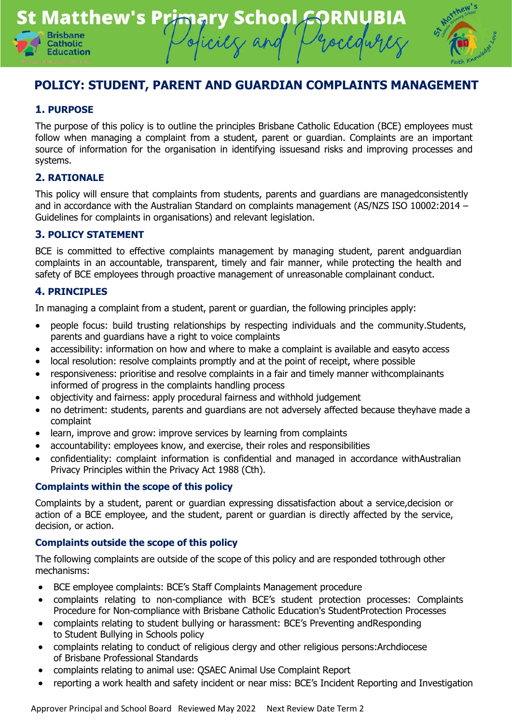



## **1. PURPOSE**

The purpose of this policy is to outline the principles Brisbane Catholic Education (BCE) employees must follow when managing a complaint from a student, parent or guardian. Complaints are an important source of information for the organisation in identifying issuesand risks and improving processes and systems.

#### **2. RATIONALE**

This policy will ensure that complaints from students, parents and guardians are managedconsistently and in accordance with the Australian Standard on complaints management (AS/NZS ISO 10002:2014 – Guidelines for complaints in organisations) and relevant legislation.

#### **3. POLICY STATEMENT**

BCE is committed to effective complaints management by managing student, parent andguardian complaints in an accountable, transparent, timely and fair manner, while protecting the health and safety of BCE employees through proactive management of unreasonable complainant conduct.

#### **4. PRINCIPLES**

In managing a complaint from a student, parent or guardian, the following principles apply:

- people focus: build trusting relationships by respecting individuals and the community.Students, parents and guardians have a right to voice complaints
- accessibility: information on how and where to make a complaint is available and easyto access
- local resolution: resolve complaints promptly and at the point of receipt, where possible
- responsiveness: prioritise and resolve complaints in a fair and timely manner withcomplainants informed of progress in the complaints handling process
- objectivity and fairness: apply procedural fairness and withhold judgement
- no detriment: students, parents and guardians are not adversely affected because theyhave made a complaint
- learn, improve and grow: improve services by learning from complaints
- accountability: employees know, and exercise, their roles and responsibilities
- confidentiality: complaint information is confidential and managed in accordance withAustralian Privacy Principles within the Privacy Act 1988 (Cth).

#### **Complaints within the scope of this policy**

Complaints by a student, parent or guardian expressing dissatisfaction about a service,decision or action of a BCE employee, and the student, parent or guardian is directly affected by the service, decision, or action.

#### **Complaints outside the scope of this policy**

The following complaints are outside of the scope of this policy and are responded tothrough other mechanisms:

- BCE employee complaints: BCE's Staff Complaints Management procedure
- complaints relating to non-compliance with BCE's student protection processes: Complaints Procedure for Non-compliance with Brisbane Catholic Education's StudentProtection Processes
- complaints relating to student bullying or harassment: BCE's Preventing andResponding to Student Bullying in Schools policy
- complaints relating to conduct of religious clergy and other religious persons:Archdiocese of Brisbane Professional Standards
- complaints relating to animal use: QSAEC Animal Use Complaint Report
- reporting a work health and safety incident or near miss: BCE's Incident Reporting and Investigation